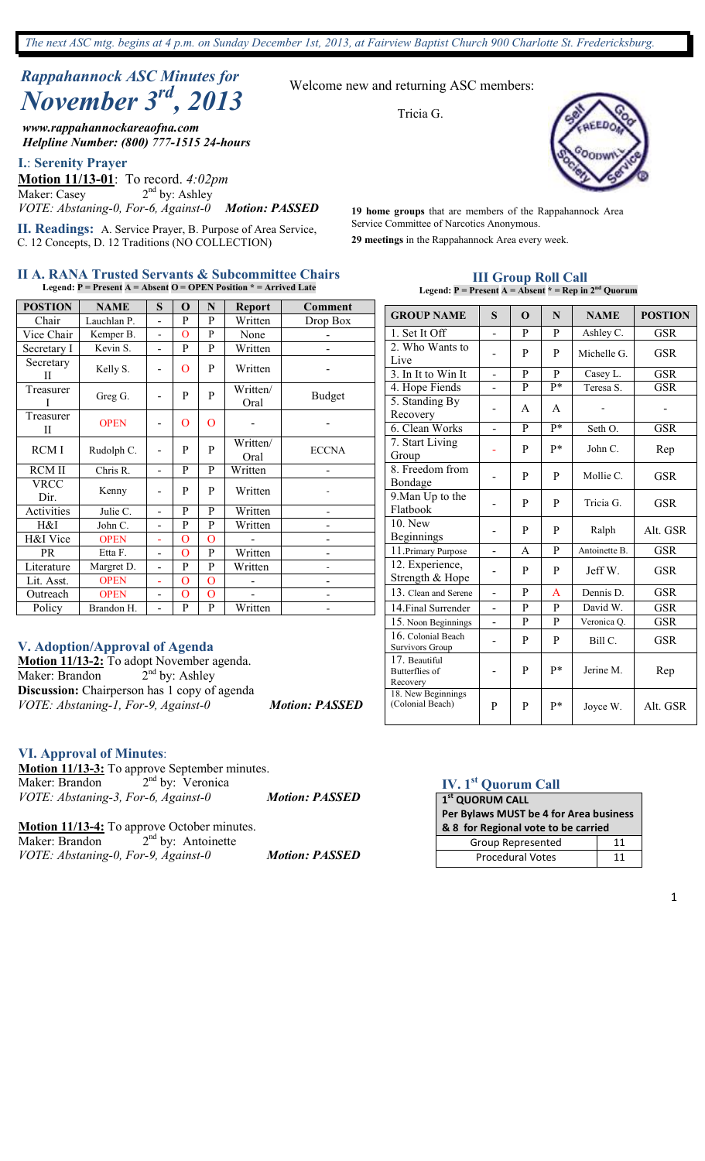*The next ASC mtg. begins at 4 p.m. on Sunday December 1st, 2013, at Fairview Baptist Church 900 Charlotte St. Fredericksburg.*

# *Rappahannock ASC Minutes for November 3rd, 2013*

*www.rappahannockareaofna.com Helpline Number: (800) 777-1515 24-hours*

**I.**: **Serenity Prayer**

**Motion 11/13-01**: To record. *4:02pm*<br>Maker: Casey 2<sup>nd</sup> by: Ashley  $2<sup>nd</sup>$  by: Ashley *VOTE: Abstaning-0, For-6, Against-0 Motion: PASSED* 

**II. Readings:** A. Service Prayer, B. Purpose of Area Service, C. 12 Concepts, D. 12 Traditions (NO COLLECTION)

#### **II A. RANA Trusted Servants & Subcommittee Chairs Legend: P = Present A = Absent O = OPEN Position \* = Arrived Late**

| <b>POSTION</b>      | <b>NAME</b> | S              | $\mathbf 0$ | N              | <b>Report</b>    | <b>Comment</b>           |
|---------------------|-------------|----------------|-------------|----------------|------------------|--------------------------|
| Chair               | Lauchlan P. |                | P           | P              | Written          | Drop Box                 |
| Vice Chair          | Kemper B.   |                | $\Omega$    | P              | None             |                          |
| Secretary I         | Kevin S.    |                | P           | P              | Written          |                          |
| Secretary<br>Н      | Kelly S.    |                | $\Omega$    | P              | Written          |                          |
| Treasurer<br>I      | Greg G.     |                | P           | P              | Written/<br>Oral | <b>Budget</b>            |
| Treasurer<br>Н      | <b>OPEN</b> |                | O           | $\mathbf{O}$   |                  |                          |
| RCM I               | Rudolph C.  |                | P           | P              | Written/<br>Oral | <b>ECCNA</b>             |
| <b>RCM II</b>       | Chris R.    |                | P           | P              | Written          |                          |
| <b>VRCC</b><br>Dir. | Kenny       |                | P           | P              | Written          |                          |
| Activities          | Julie C.    |                | P           | P              | Written          | $\overline{\phantom{0}}$ |
| H&I                 | John C.     |                | P           | P              | Written          |                          |
| H&I Vice            | <b>OPEN</b> |                | $\Omega$    | O              |                  |                          |
| PR                  | Etta F.     |                | $\Omega$    | P              | Written          |                          |
| Literature          | Margret D.  | $\overline{a}$ | P           | P              | Written          |                          |
| Lit. Asst.          | <b>OPEN</b> | L,             | O           | $\overline{O}$ |                  |                          |
| Outreach            | <b>OPEN</b> |                | $\Omega$    | O              |                  |                          |
| Policy              | Brandon H.  |                | P           | P              | Written          |                          |

## **V. Adoption/Approval of Agenda**

**Motion 11/13-2:** To adopt November agenda. Maker: Brandon  $2<sup>nd</sup>$  by: Ashley **Discussion:** Chairperson has 1 copy of agenda *VOTE: Abstaning-1, For-9, Against-0 Motion: PASSED* 

#### **VI. Approval of Minutes**:

**Motion 11/13-3:** To approve September minutes. Maker: Brandon 2<sup>nd</sup> by: Veronica *VOTE: Abstaning-3, For-6, Against-0 Motion: PASSED* 

**Motion 11/13-4:** To approve October minutes. Maker: Brandon 2<sup>nd</sup> by: Antoinette *VOTE: Abstaning-0, For-9, Against-0 Motion: PASSED* 

#### Welcome new and returning ASC members:

Tricia G.



**29 meetings** in the Rappahannock Area every week. **19 home groups** that are members of the Rappahannock Area Service Committee of Narcotics Anonymous.

> **III Group Roll Call Legend: P = Present A = Absent \* = Rep in 2nd Quorum**

| <b>GROUP NAME</b>                                  | S                        | $\Omega$     | N               | <b>NAME</b>   | <b>POSTION</b> |
|----------------------------------------------------|--------------------------|--------------|-----------------|---------------|----------------|
| 1. Set It Off                                      |                          | P            | P               | Ashley C.     | GSR            |
| 2. Who Wants to<br>Live                            |                          | P            | P               | Michelle G.   | GSR            |
| 3. In It to Win It                                 |                          | P            | P               | Casey L.      | <b>GSR</b>     |
| 4. Hope Fiends                                     |                          | P            | p*              | Teresa S.     | <b>GSR</b>     |
| 5. Standing By<br>Recovery                         |                          | A            | A               |               |                |
| 6. Clean Works                                     |                          | P            | $\overline{P*}$ | Seth O.       | <b>GSR</b>     |
| 7. Start Living<br>Group                           |                          | P            | $P*$            | John C.       | Rep            |
| 8. Freedom from<br>Bondage                         |                          | P            | P               | Mollie C.     | GSR            |
| 9. Man Up to the<br>Flatbook                       |                          | P            | P               | Tricia G.     | <b>GSR</b>     |
| 10. New<br><b>Beginnings</b>                       |                          | P            | P               | Ralph         | Alt. GSR       |
| 11. Primary Purpose                                |                          | A            | P               | Antoinette B. | <b>GSR</b>     |
| 12. Experience,<br>Strength & Hope                 |                          | P            | P               | Jeff W.       | GSR            |
| 13. Clean and Serene                               |                          | P            | A               | Dennis D.     | <b>GSR</b>     |
| 14. Final Surrender                                |                          | P            | P               | David W.      | <b>GSR</b>     |
| 15. Noon Beginnings                                | $\overline{\phantom{0}}$ | $\mathbf{P}$ | $\mathbf{P}$    | Veronica Q.   | <b>GSR</b>     |
| 16. Colonial Beach<br>Survivors Group              |                          | P            | P               | Bill C.       | GSR            |
| 17. Beautiful<br><b>Butterflies</b> of<br>Recovery |                          | P            | p*              | Jerine M.     | Rep            |
| 18. New Beginnings<br>(Colonial Beach)             | P                        | P            | p*              | Joyce W.      | Alt. GSR       |

# **IV. 1st Quorum Call**

| 1st QUORUM CALL                        |    |  |  |
|----------------------------------------|----|--|--|
| Per Bylaws MUST be 4 for Area business |    |  |  |
| & 8 for Regional vote to be carried    |    |  |  |
| Group Represented                      | 11 |  |  |
| <b>Procedural Votes</b>                | 11 |  |  |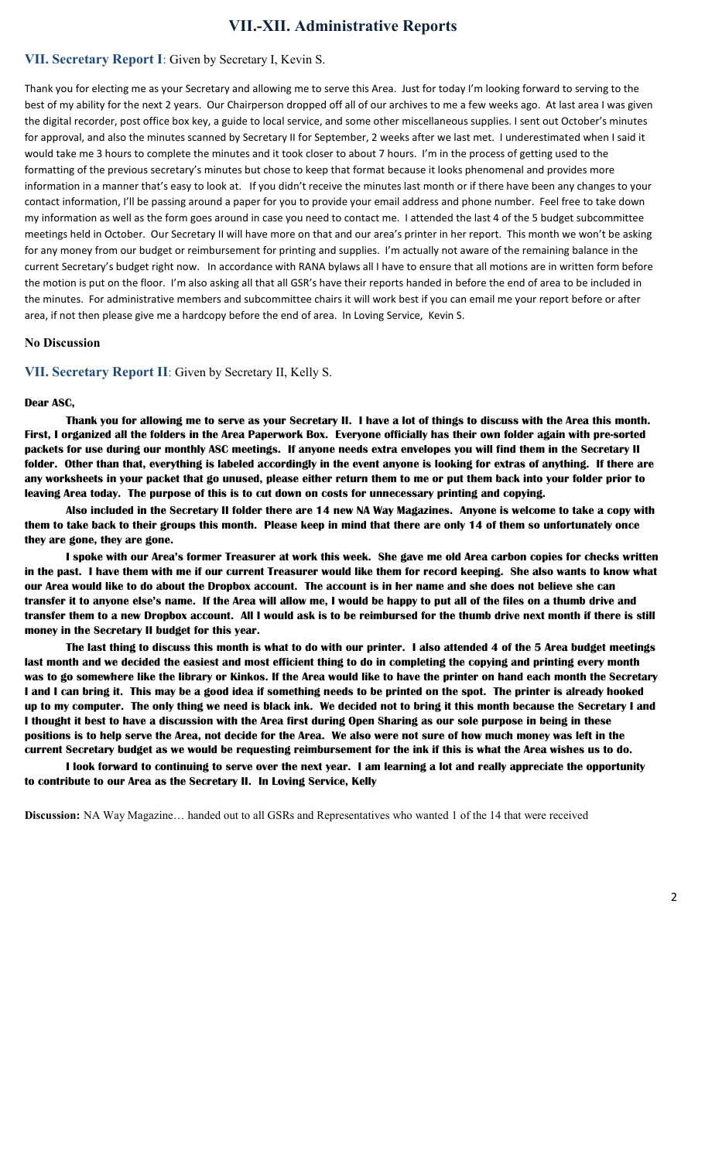## **VII.-XII. Administrative Reports**

#### **VII. Secretary Report I**: Given by Secretary I, Kevin S.

Thank you for electing me as your Secretary and allowing me to serve this Area. Just for today I'm looking forward to serving to the best of my ability for the next 2 years. Our Chairperson dropped off all of our archives to me a few weeks ago. At last area I was given the digital recorder, post office box key, a guide to local service, and some other miscellaneous supplies. I sent out October's minutes for approval, and also the minutes scanned by Secretary II for September, 2 weeks after we last met. I underestimated when I said it would take me 3 hours to complete the minutes and it took closer to about 7 hours. I'm in the process of getting used to the formatting of the previous secretary's minutes but chose to keep that format because it looks phenomenal and provides more information in a manner that's easy to look at. If you didn't receive the minutes last month or if there have been any changes to your contact information, I'll be passing around a paper for you to provide your email address and phone number. Feel free to take down my information as well as the form goes around in case you need to contact me. I attended the last 4 of the 5 budget subcommittee meetings held in October. Our Secretary II will have more on that and our area's printer in her report. This month we won't be asking for any money from our budget or reimbursement for printing and supplies. I'm actually not aware of the remaining balance in the current Secretary's budget right now. In accordance with RANA bylaws all I have to ensure that all motions are in written form before the motion is put on the floor. I'm also asking all that all GSR's have their reports handed in before the end of area to be included in the minutes. For administrative members and subcommittee chairs it will work best if you can email me your report before or after area, if not then please give me a hardcopy before the end of area. In Loving Service, Kevin S.

#### **No Discussion**

**VII. Secretary Report II**: Given by Secretary II, Kelly S.

#### **Dear ASC,**

 **Thank you for allowing me to serve as your Secretary II. I have a lot of things to discuss with the Area this month. First, I organized all the folders in the Area Paperwork Box. Everyone officially has their own folder again with pre-sorted packets for use during our monthly ASC meetings. If anyone needs extra envelopes you will find them in the Secretary II folder. Other than that, everything is labeled accordingly in the event anyone is looking for extras of anything. If there are any worksheets in your packet that go unused, please either return them to me or put them back into your folder prior to leaving Area today. The purpose of this is to cut down on costs for unnecessary printing and copying.**

 **Also included in the Secretary II folder there are 14 new NA Way Magazines. Anyone is welcome to take a copy with them to take back to their groups this month. Please keep in mind that there are only 14 of them so unfortunately once they are gone, they are gone.** 

 **I spoke with our Area's former Treasurer at work this week. She gave me old Area carbon copies for checks written in the past. I have them with me if our current Treasurer would like them for record keeping. She also wants to know what our Area would like to do about the Dropbox account. The account is in her name and she does not believe she can transfer it to anyone else's name. If the Area will allow me, I would be happy to put all of the files on a thumb drive and transfer them to a new Dropbox account. All I would ask is to be reimbursed for the thumb drive next month if there is still money in the Secretary II budget for this year.**

**The last thing to discuss this month is what to do with our printer. I also attended 4 of the 5 Area budget meetings last month and we decided the easiest and most efficient thing to do in completing the copying and printing every month was to go somewhere like the library or Kinkos. If the Area would like to have the printer on hand each month the Secretary I and I can bring it. This may be a good idea if something needs to be printed on the spot. The printer is already hooked up to my computer. The only thing we need is black ink. We decided not to bring it this month because the Secretary I and I thought it best to have a discussion with the Area first during Open Sharing as our sole purpose in being in these positions is to help serve the Area, not decide for the Area. We also were not sure of how much money was left in the current Secretary budget as we would be requesting reimbursement for the ink if this is what the Area wishes us to do.**

**I look forward to continuing to serve over the next year. I am learning a lot and really appreciate the opportunity to contribute to our Area as the Secretary II. In Loving Service, Kelly** 

**Discussion:** NA Way Magazine… handed out to all GSRs and Representatives who wanted 1 of the 14 that were received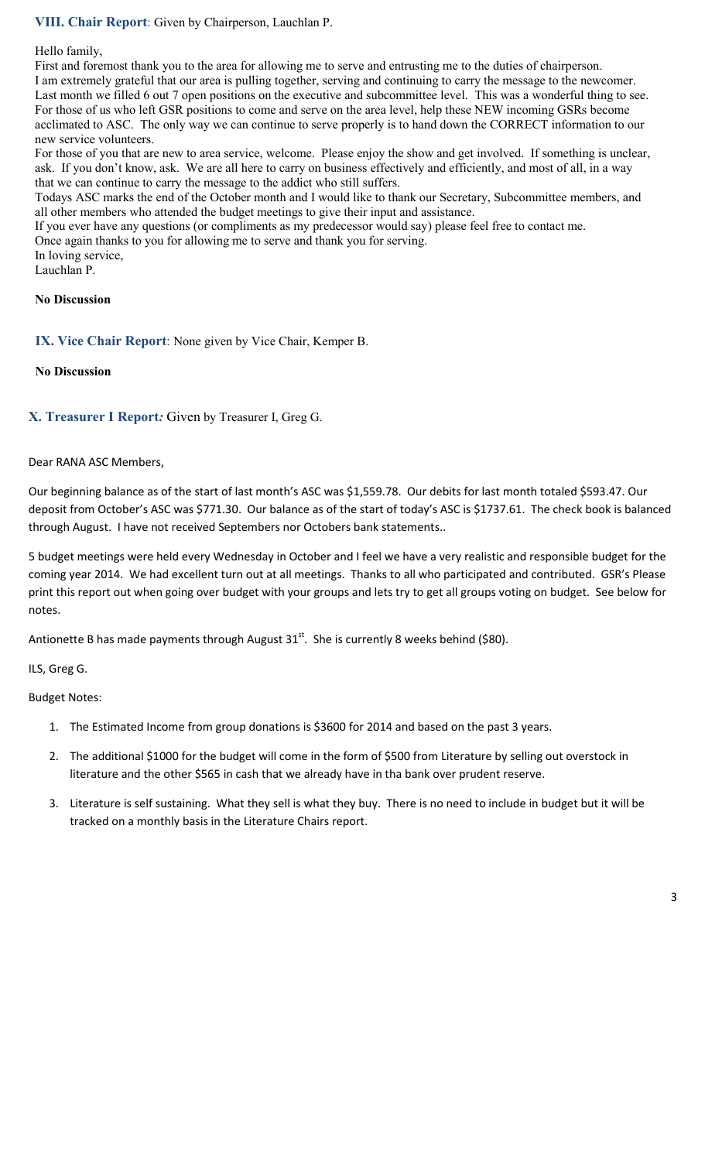## **VIII. Chair Report**: Given by Chairperson, Lauchlan P.

#### Hello family,

First and foremost thank you to the area for allowing me to serve and entrusting me to the duties of chairperson. I am extremely grateful that our area is pulling together, serving and continuing to carry the message to the newcomer. Last month we filled 6 out 7 open positions on the executive and subcommittee level. This was a wonderful thing to see. For those of us who left GSR positions to come and serve on the area level, help these NEW incoming GSRs become acclimated to ASC. The only way we can continue to serve properly is to hand down the CORRECT information to our new service volunteers.

For those of you that are new to area service, welcome. Please enjoy the show and get involved. If something is unclear, ask. If you don't know, ask. We are all here to carry on business effectively and efficiently, and most of all, in a way that we can continue to carry the message to the addict who still suffers.

Todays ASC marks the end of the October month and I would like to thank our Secretary, Subcommittee members, and all other members who attended the budget meetings to give their input and assistance.

If you ever have any questions (or compliments as my predecessor would say) please feel free to contact me.

Once again thanks to you for allowing me to serve and thank you for serving.

In loving service,

Lauchlan P.

#### **No Discussion**

**IX. Vice Chair Report**: None given by Vice Chair, Kemper B.

#### **No Discussion**

#### **X. Treasurer I Report***:* Given by Treasurer I, Greg G.

#### Dear RANA ASC Members,

Our beginning balance as of the start of last month's ASC was \$1,559.78. Our debits for last month totaled \$593.47. Our deposit from October's ASC was \$771.30. Our balance as of the start of today's ASC is \$1737.61. The check book is balanced through August. I have not received Septembers nor Octobers bank statements..

5 budget meetings were held every Wednesday in October and I feel we have a very realistic and responsible budget for the coming year 2014. We had excellent turn out at all meetings. Thanks to all who participated and contributed. GSR's Please print this report out when going over budget with your groups and lets try to get all groups voting on budget. See below for notes.

Antionette B has made payments through August  $31^{st}$ . She is currently 8 weeks behind (\$80).

ILS, Greg G.

Budget Notes:

- 1. The Estimated Income from group donations is \$3600 for 2014 and based on the past 3 years.
- 2. The additional \$1000 for the budget will come in the form of \$500 from Literature by selling out overstock in literature and the other \$565 in cash that we already have in tha bank over prudent reserve.
- 3. Literature is self sustaining. What they sell is what they buy. There is no need to include in budget but it will be tracked on a monthly basis in the Literature Chairs report.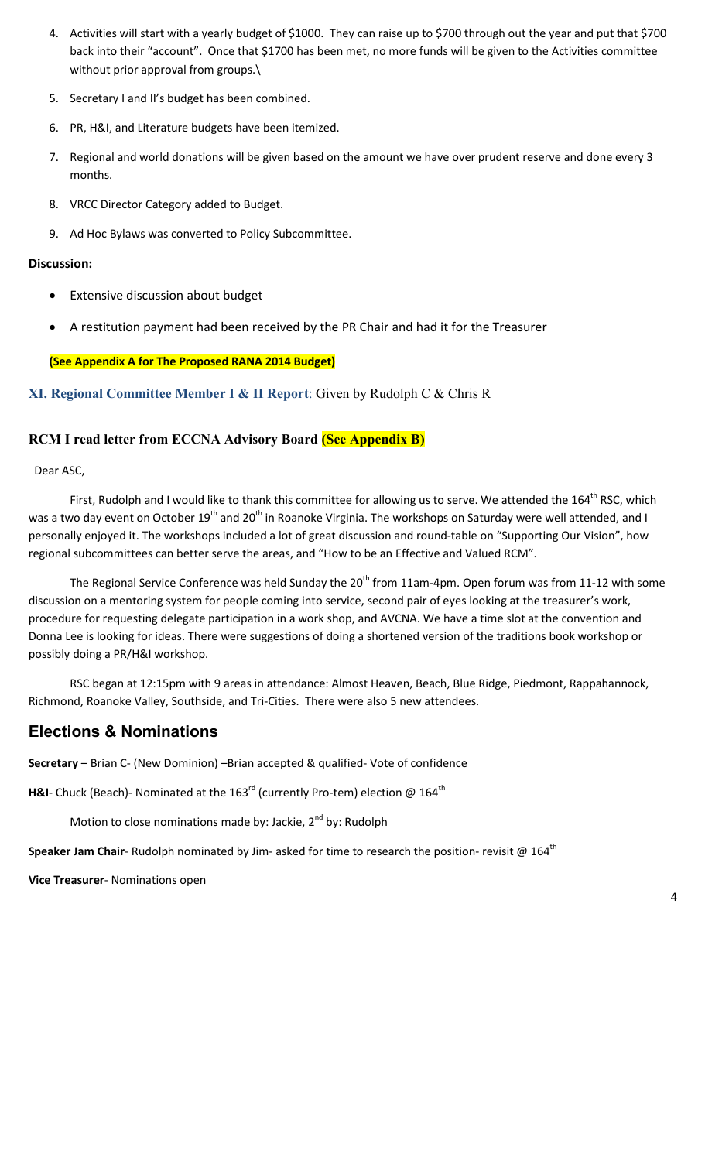- 4. Activities will start with a yearly budget of \$1000. They can raise up to \$700 through out the year and put that \$700 back into their "account". Once that \$1700 has been met, no more funds will be given to the Activities committee without prior approval from groups.\
- 5. Secretary I and II's budget has been combined.
- 6. PR, H&I, and Literature budgets have been itemized.
- 7. Regional and world donations will be given based on the amount we have over prudent reserve and done every 3 months.
- 8. VRCC Director Category added to Budget.
- 9. Ad Hoc Bylaws was converted to Policy Subcommittee.

#### **Discussion:**

- Extensive discussion about budget
- A restitution payment had been received by the PR Chair and had it for the Treasurer

#### **(See Appendix A for The Proposed RANA 2014 Budget)**

#### **XI. Regional Committee Member I & II Report**: Given by Rudolph C & Chris R

#### **RCM I read letter from ECCNA Advisory Board (See Appendix B)**

Dear ASC,

First, Rudolph and I would like to thank this committee for allowing us to serve. We attended the 164<sup>th</sup> RSC, which was a two day event on October 19<sup>th</sup> and 20<sup>th</sup> in Roanoke Virginia. The workshops on Saturday were well attended, and I personally enjoyed it. The workshops included a lot of great discussion and round-table on "Supporting Our Vision", how regional subcommittees can better serve the areas, and "How to be an Effective and Valued RCM".

The Regional Service Conference was held Sunday the  $20^{th}$  from 11am-4pm. Open forum was from 11-12 with some discussion on a mentoring system for people coming into service, second pair of eyes looking at the treasurer's work, procedure for requesting delegate participation in a work shop, and AVCNA. We have a time slot at the convention and Donna Lee is looking for ideas. There were suggestions of doing a shortened version of the traditions book workshop or possibly doing a PR/H&I workshop.

 RSC began at 12:15pm with 9 areas in attendance: Almost Heaven, Beach, Blue Ridge, Piedmont, Rappahannock, Richmond, Roanoke Valley, Southside, and Tri-Cities. There were also 5 new attendees.

## **Elections & Nominations**

**Secretary** – Brian C- (New Dominion) –Brian accepted & qualified- Vote of confidence

H&I- Chuck (Beach)- Nominated at the 163<sup>rd</sup> (currently Pro-tem) election @ 164<sup>th</sup>

Motion to close nominations made by: Jackie,  $2^{nd}$  by: Rudolph

**Speaker Jam Chair**- Rudolph nominated by Jim- asked for time to research the position- revisit @ 164<sup>th</sup>

**Vice Treasurer**- Nominations open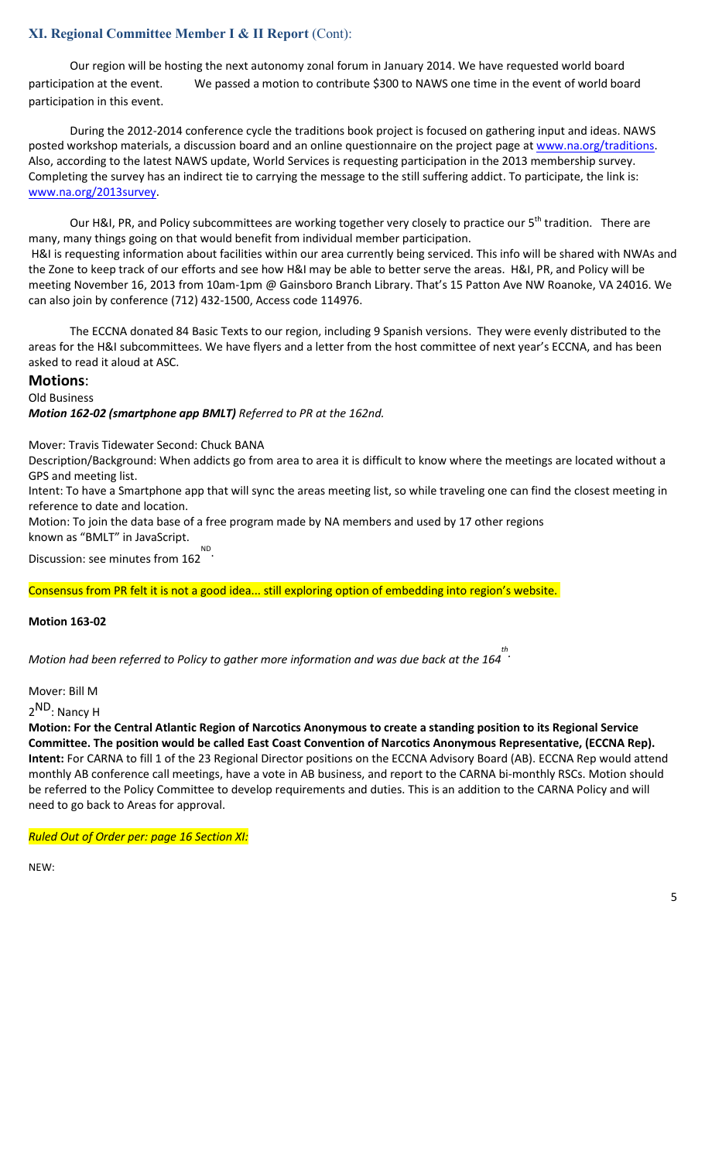## **XI. Regional Committee Member I & II Report** (Cont):

 Our region will be hosting the next autonomy zonal forum in January 2014. We have requested world board participation at the event. We passed a motion to contribute \$300 to NAWS one time in the event of world board participation in this event.

During the 2012-2014 conference cycle the traditions book project is focused on gathering input and ideas. NAWS posted workshop materials, a discussion board and an online questionnaire on the project page at www.na.org/traditions. Also, according to the latest NAWS update, World Services is requesting participation in the 2013 membership survey. Completing the survey has an indirect tie to carrying the message to the still suffering addict. To participate, the link is: www.na.org/2013survey.

Our H&I, PR, and Policy subcommittees are working together very closely to practice our 5<sup>th</sup> tradition. There are many, many things going on that would benefit from individual member participation. H&I is requesting information about facilities within our area currently being serviced. This info will be shared with NWAs and the Zone to keep track of our efforts and see how H&I may be able to better serve the areas. H&I, PR, and Policy will be meeting November 16, 2013 from 10am-1pm @ Gainsboro Branch Library. That's 15 Patton Ave NW Roanoke, VA 24016. We can also join by conference (712) 432-1500, Access code 114976.

 The ECCNA donated 84 Basic Texts to our region, including 9 Spanish versions. They were evenly distributed to the areas for the H&I subcommittees. We have flyers and a letter from the host committee of next year's ECCNA, and has been asked to read it aloud at ASC.

#### **Motions**:

Old Business

*Motion 162-02 (smartphone app BMLT) Referred to PR at the 162nd.* 

Mover: Travis Tidewater Second: Chuck BANA

Description/Background: When addicts go from area to area it is difficult to know where the meetings are located without a GPS and meeting list.

Intent: To have a Smartphone app that will sync the areas meeting list, so while traveling one can find the closest meeting in reference to date and location.

Motion: To join the data base of a free program made by NA members and used by 17 other regions known as "BMLT" in JavaScript. ND

Discussion: see minutes from 162 .

Consensus from PR felt it is not a good idea... still exploring option of embedding into region's website.

#### **Motion 163-02**

*Motion had been referred to Policy to gather more information and was due back at the 164 th .* 

Mover: Bill M

2<sup>ND</sup>: Nancy H

**Motion: For the Central Atlantic Region of Narcotics Anonymous to create a standing position to its Regional Service Committee. The position would be called East Coast Convention of Narcotics Anonymous Representative, (ECCNA Rep). Intent:** For CARNA to fill 1 of the 23 Regional Director positions on the ECCNA Advisory Board (AB). ECCNA Rep would attend monthly AB conference call meetings, have a vote in AB business, and report to the CARNA bi-monthly RSCs. Motion should be referred to the Policy Committee to develop requirements and duties. This is an addition to the CARNA Policy and will need to go back to Areas for approval.

*Ruled Out of Order per: page 16 Section XI:*

NEW: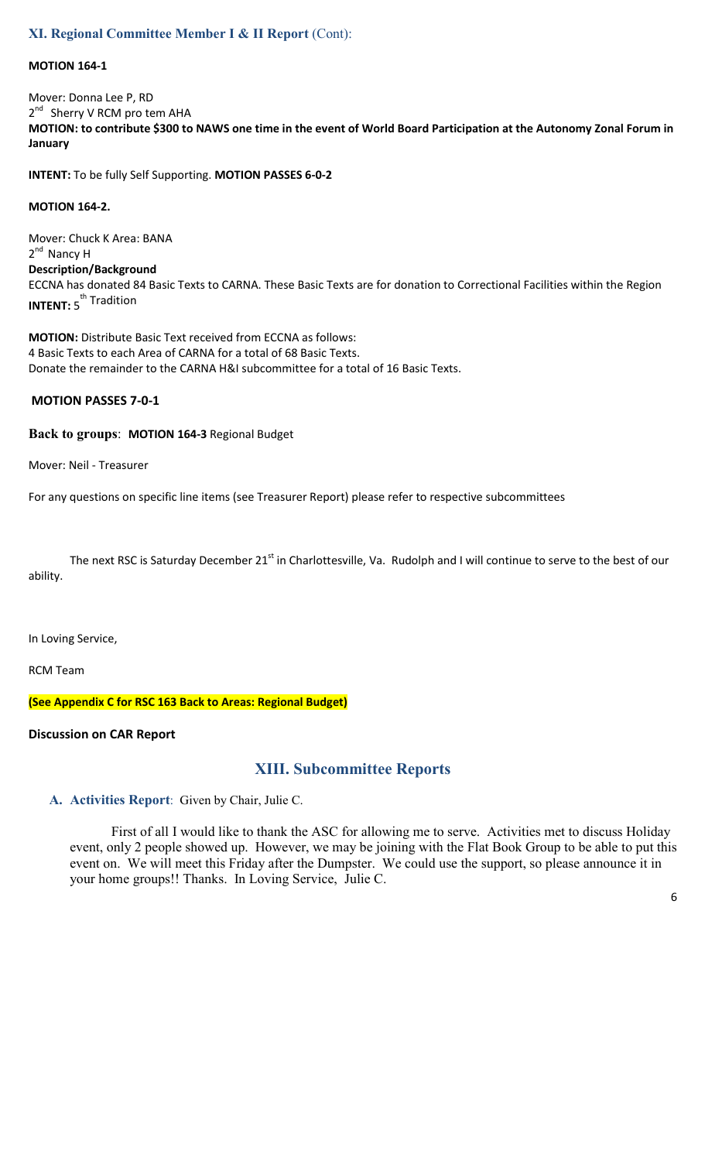### **XI. Regional Committee Member I & II Report** (Cont):

#### **MOTION 164-1**

Mover: Donna Lee P, RD 2<sup>nd</sup> Sherry V RCM pro tem AHA **MOTION: to contribute \$300 to NAWS one time in the event of World Board Participation at the Autonomy Zonal Forum in January** 

**INTENT:** To be fully Self Supporting. **MOTION PASSES 6-0-2** 

#### **MOTION 164-2.**

Mover: Chuck K Area: BANA 2<sup>nd</sup> Nancy H **Description/Background**  ECCNA has donated 84 Basic Texts to CARNA. These Basic Texts are for donation to Correctional Facilities within the Region **INTENT:** 5<sup>th</sup> Tradition

**MOTION:** Distribute Basic Text received from ECCNA as follows: 4 Basic Texts to each Area of CARNA for a total of 68 Basic Texts. Donate the remainder to the CARNA H&I subcommittee for a total of 16 Basic Texts.

#### **MOTION PASSES 7-0-1**

#### **Back to groups**: **MOTION 164-3** Regional Budget

Mover: Neil - Treasurer

For any questions on specific line items (see Treasurer Report) please refer to respective subcommittees

The next RSC is Saturday December 21<sup>st</sup> in Charlottesville, Va. Rudolph and I will continue to serve to the best of our ability.

In Loving Service,

RCM Team

**(See Appendix C for RSC 163 Back to Areas: Regional Budget)** 

#### **Discussion on CAR Report**

## **XIII. Subcommittee Reports**

**A. Activities Report**: Given by Chair, Julie C.

First of all I would like to thank the ASC for allowing me to serve. Activities met to discuss Holiday event, only 2 people showed up. However, we may be joining with the Flat Book Group to be able to put this event on. We will meet this Friday after the Dumpster. We could use the support, so please announce it in your home groups!! Thanks. In Loving Service, Julie C.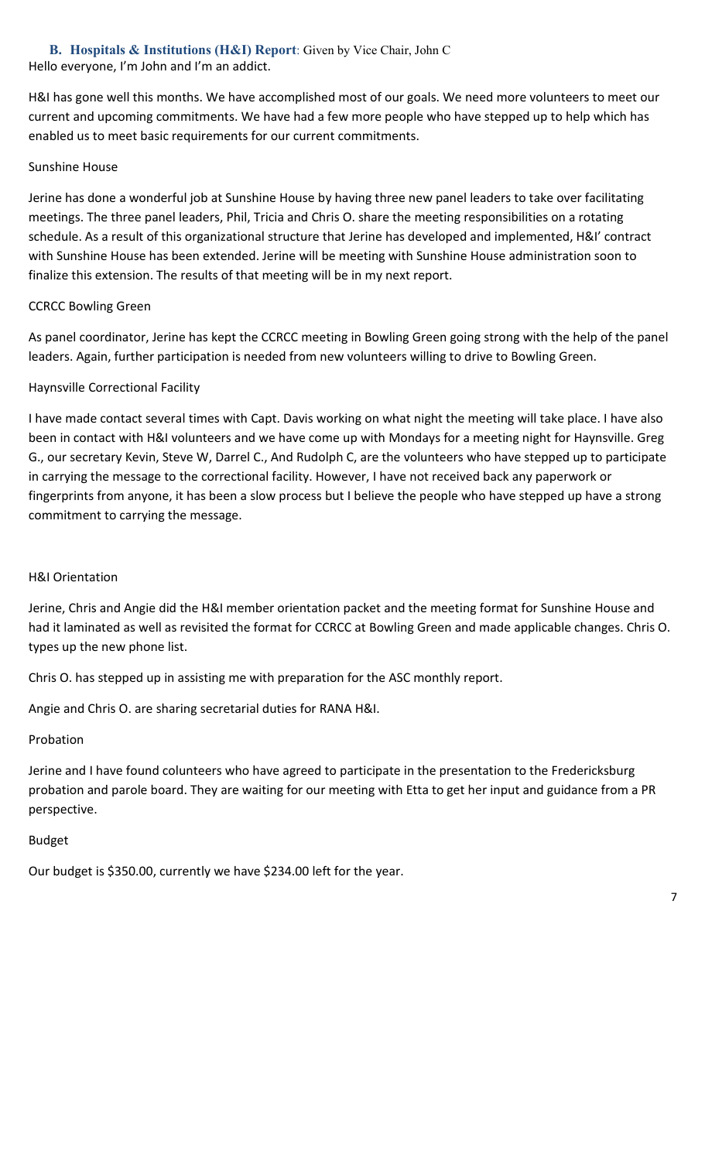**B. Hospitals & Institutions (H&I) Report**: Given by Vice Chair, John C Hello everyone, I'm John and I'm an addict.

H&I has gone well this months. We have accomplished most of our goals. We need more volunteers to meet our current and upcoming commitments. We have had a few more people who have stepped up to help which has enabled us to meet basic requirements for our current commitments.

### Sunshine House

Jerine has done a wonderful job at Sunshine House by having three new panel leaders to take over facilitating meetings. The three panel leaders, Phil, Tricia and Chris O. share the meeting responsibilities on a rotating schedule. As a result of this organizational structure that Jerine has developed and implemented, H&I' contract with Sunshine House has been extended. Jerine will be meeting with Sunshine House administration soon to finalize this extension. The results of that meeting will be in my next report.

## CCRCC Bowling Green

As panel coordinator, Jerine has kept the CCRCC meeting in Bowling Green going strong with the help of the panel leaders. Again, further participation is needed from new volunteers willing to drive to Bowling Green.

## Haynsville Correctional Facility

I have made contact several times with Capt. Davis working on what night the meeting will take place. I have also been in contact with H&I volunteers and we have come up with Mondays for a meeting night for Haynsville. Greg G., our secretary Kevin, Steve W, Darrel C., And Rudolph C, are the volunteers who have stepped up to participate in carrying the message to the correctional facility. However, I have not received back any paperwork or fingerprints from anyone, it has been a slow process but I believe the people who have stepped up have a strong commitment to carrying the message.

#### H&I Orientation

Jerine, Chris and Angie did the H&I member orientation packet and the meeting format for Sunshine House and had it laminated as well as revisited the format for CCRCC at Bowling Green and made applicable changes. Chris O. types up the new phone list.

Chris O. has stepped up in assisting me with preparation for the ASC monthly report.

Angie and Chris O. are sharing secretarial duties for RANA H&I.

#### Probation

Jerine and I have found colunteers who have agreed to participate in the presentation to the Fredericksburg probation and parole board. They are waiting for our meeting with Etta to get her input and guidance from a PR perspective.

#### Budget

Our budget is \$350.00, currently we have \$234.00 left for the year.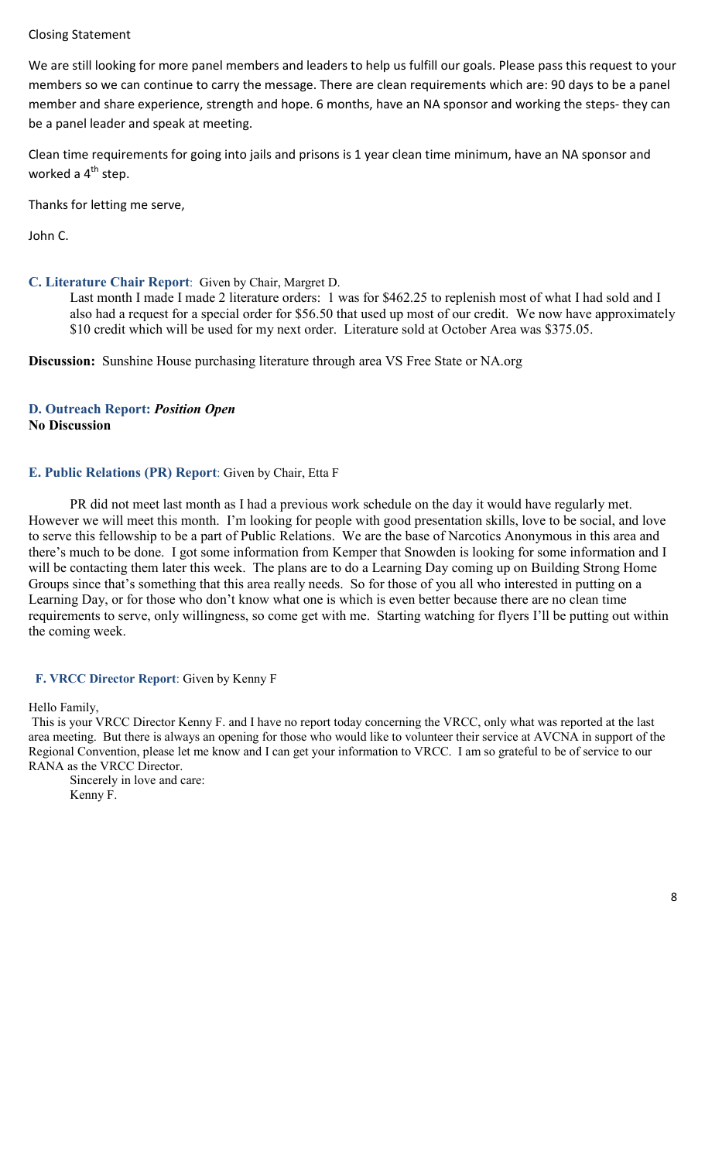#### Closing Statement

We are still looking for more panel members and leaders to help us fulfill our goals. Please pass this request to your members so we can continue to carry the message. There are clean requirements which are: 90 days to be a panel member and share experience, strength and hope. 6 months, have an NA sponsor and working the steps- they can be a panel leader and speak at meeting.

Clean time requirements for going into jails and prisons is 1 year clean time minimum, have an NA sponsor and worked a  $4<sup>th</sup>$  step.

Thanks for letting me serve,

John C.

#### **C. Literature Chair Report**: Given by Chair, Margret D.

Last month I made I made 2 literature orders: 1 was for \$462.25 to replenish most of what I had sold and I also had a request for a special order for \$56.50 that used up most of our credit. We now have approximately \$10 credit which will be used for my next order. Literature sold at October Area was \$375.05.

**Discussion:** Sunshine House purchasing literature through area VS Free State or NA.org

### **D. Outreach Report:** *Position Open*  **No Discussion**

#### **E. Public Relations (PR) Report**: Given by Chair, Etta F

 PR did not meet last month as I had a previous work schedule on the day it would have regularly met. However we will meet this month. I'm looking for people with good presentation skills, love to be social, and love to serve this fellowship to be a part of Public Relations. We are the base of Narcotics Anonymous in this area and there's much to be done. I got some information from Kemper that Snowden is looking for some information and I will be contacting them later this week. The plans are to do a Learning Day coming up on Building Strong Home Groups since that's something that this area really needs. So for those of you all who interested in putting on a Learning Day, or for those who don't know what one is which is even better because there are no clean time requirements to serve, only willingness, so come get with me. Starting watching for flyers I'll be putting out within the coming week.

#### **F. VRCC Director Report**: Given by Kenny F

#### Hello Family,

 This is your VRCC Director Kenny F. and I have no report today concerning the VRCC, only what was reported at the last area meeting. But there is always an opening for those who would like to volunteer their service at AVCNA in support of the Regional Convention, please let me know and I can get your information to VRCC. I am so grateful to be of service to our RANA as the VRCC Director.

 Sincerely in love and care: Kenny F.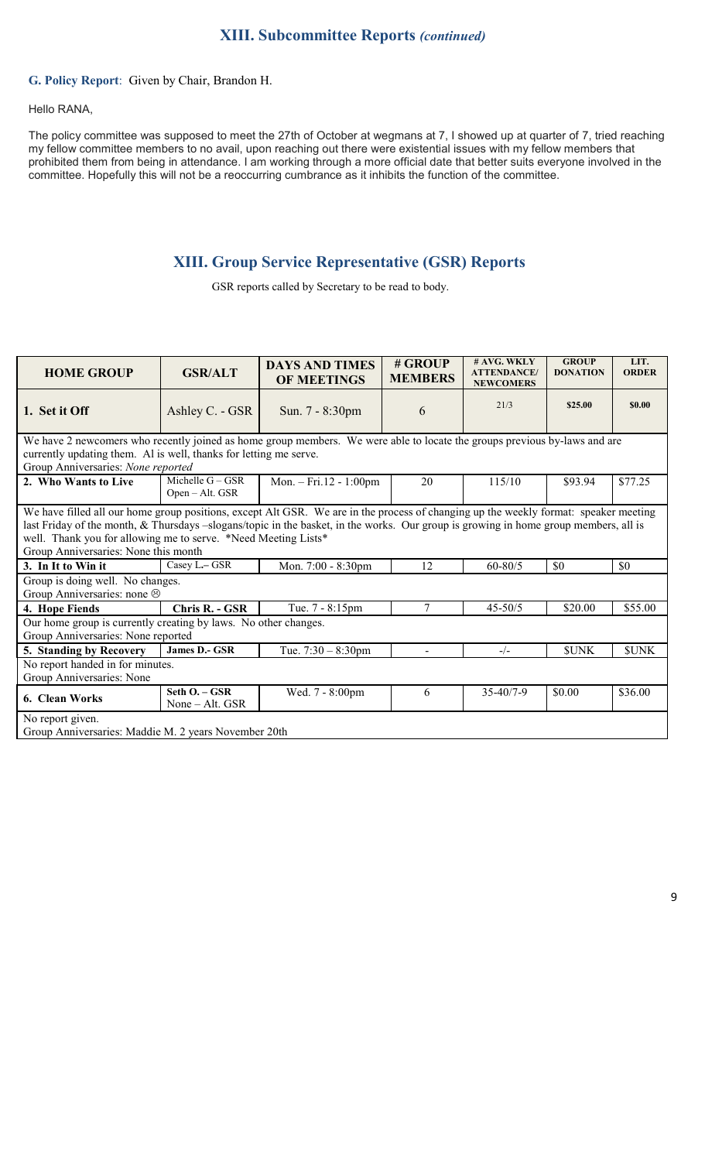#### **G. Policy Report**: Given by Chair, Brandon H.

#### Hello RANA,

The policy committee was supposed to meet the 27th of October at wegmans at 7, I showed up at quarter of 7, tried reaching my fellow committee members to no avail, upon reaching out there were existential issues with my fellow members that prohibited them from being in attendance. I am working through a more official date that better suits everyone involved in the committee. Hopefully this will not be a reoccurring cumbrance as it inhibits the function of the committee.

## **XIII. Group Service Representative (GSR) Reports**

GSR reports called by Secretary to be read to body.

| <b>HOME GROUP</b>                                                                                                                                                                                                                                                                                                                                                                      | <b>GSR/ALT</b>                        | <b>DAYS AND TIMES</b><br><b>OF MEETINGS</b> | # GROUP<br><b>MEMBERS</b> | # AVG. WKLY<br><b>ATTENDANCE</b> /<br><b>NEWCOMERS</b> | <b>GROUP</b><br><b>DONATION</b> | LIT.<br><b>ORDER</b> |  |
|----------------------------------------------------------------------------------------------------------------------------------------------------------------------------------------------------------------------------------------------------------------------------------------------------------------------------------------------------------------------------------------|---------------------------------------|---------------------------------------------|---------------------------|--------------------------------------------------------|---------------------------------|----------------------|--|
| 1. Set it Off                                                                                                                                                                                                                                                                                                                                                                          | Ashley C. - GSR                       | Sun. 7 - 8:30pm                             | 6                         | 21/3                                                   | \$25.00                         | \$0.00               |  |
| We have 2 newcomers who recently joined as home group members. We were able to locate the groups previous by-laws and are<br>currently updating them. Al is well, thanks for letting me serve.<br>Group Anniversaries: None reported                                                                                                                                                   |                                       |                                             |                           |                                                        |                                 |                      |  |
| 2. Who Wants to Live                                                                                                                                                                                                                                                                                                                                                                   | Michelle $G - GSR$<br>Open – Alt. GSR | Mon. $-$ Fri.12 - 1:00pm                    | 20                        | 115/10                                                 | \$93.94                         | \$77.25              |  |
| We have filled all our home group positions, except Alt GSR. We are in the process of changing up the weekly format: speaker meeting<br>last Friday of the month, & Thursdays -slogans/topic in the basket, in the works. Our group is growing in home group members, all is<br>well. Thank you for allowing me to serve. *Need Meeting Lists*<br>Group Anniversaries: None this month |                                       |                                             |                           |                                                        |                                 |                      |  |
| 3. In It to Win it                                                                                                                                                                                                                                                                                                                                                                     | Casey L-GSR                           | Mon. 7:00 - 8:30pm                          | 12                        | $60 - 80/5$                                            | \$0                             | \$0                  |  |
| Group is doing well. No changes.<br>Group Anniversaries: none &                                                                                                                                                                                                                                                                                                                        |                                       |                                             |                           |                                                        |                                 |                      |  |
| 4. Hope Fiends                                                                                                                                                                                                                                                                                                                                                                         | Chris R. - GSR                        | Tue. 7 - 8:15pm                             | 7                         | $45 - 50/5$                                            | \$20.00                         | \$55.00              |  |
| Our home group is currently creating by laws. No other changes.<br>Group Anniversaries: None reported                                                                                                                                                                                                                                                                                  |                                       |                                             |                           |                                                        |                                 |                      |  |
| 5. Standing by Recovery                                                                                                                                                                                                                                                                                                                                                                | James D.- GSR                         | Tue. $7:30 - 8:30$ pm                       |                           | $-/-$                                                  | <b>SUNK</b>                     | <b>SUNK</b>          |  |
| No report handed in for minutes.<br>Group Anniversaries: None                                                                                                                                                                                                                                                                                                                          |                                       |                                             |                           |                                                        |                                 |                      |  |
| 6. Clean Works                                                                                                                                                                                                                                                                                                                                                                         | Seth O. - GSR<br>None $-$ Alt. GSR    | Wed. 7 - 8:00pm                             | 6                         | $35 - 40/7 - 9$                                        | \$0.00                          | \$36.00              |  |
| No report given.<br>Group Anniversaries: Maddie M. 2 years November 20th                                                                                                                                                                                                                                                                                                               |                                       |                                             |                           |                                                        |                                 |                      |  |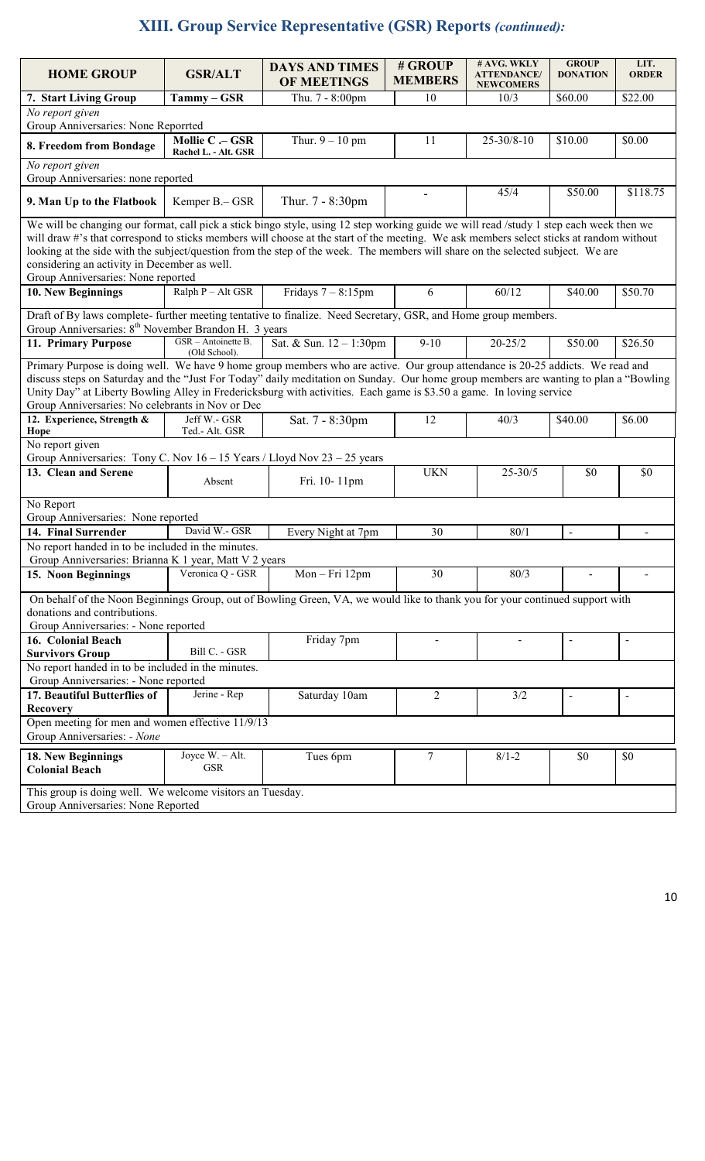# **XIII. Group Service Representative (GSR) Reports** *(continued):*

| <b>HOME GROUP</b>                                                                                                                                                                                                                                                                                                                                                                                                                                  | <b>GSR/ALT</b>                                                                                                                                                                                                                                                                                                                                                                                                                                                                                                                                                                                | <b>DAYS AND TIMES</b><br><b>OF MEETINGS</b> | # GROUP<br><b>MEMBERS</b> | $#$ AVG. WKLY<br><b>ATTENDANCE/</b><br><b>NEWCOMERS</b> | <b>GROUP</b><br><b>DONATION</b> | LIT.<br><b>ORDER</b>     |  |  |
|----------------------------------------------------------------------------------------------------------------------------------------------------------------------------------------------------------------------------------------------------------------------------------------------------------------------------------------------------------------------------------------------------------------------------------------------------|-----------------------------------------------------------------------------------------------------------------------------------------------------------------------------------------------------------------------------------------------------------------------------------------------------------------------------------------------------------------------------------------------------------------------------------------------------------------------------------------------------------------------------------------------------------------------------------------------|---------------------------------------------|---------------------------|---------------------------------------------------------|---------------------------------|--------------------------|--|--|
| 7. Start Living Group                                                                                                                                                                                                                                                                                                                                                                                                                              | Tammy - GSR                                                                                                                                                                                                                                                                                                                                                                                                                                                                                                                                                                                   | Thu. 7 - 8:00pm                             | 10                        | 10/3                                                    | \$60.00                         | \$22.00                  |  |  |
| No report given<br>Group Anniversaries: None Reporrted                                                                                                                                                                                                                                                                                                                                                                                             |                                                                                                                                                                                                                                                                                                                                                                                                                                                                                                                                                                                               |                                             |                           |                                                         |                                 |                          |  |  |
| 8. Freedom from Bondage                                                                                                                                                                                                                                                                                                                                                                                                                            | Mollie C .- GSR<br>Rachel L. - Alt. GSR                                                                                                                                                                                                                                                                                                                                                                                                                                                                                                                                                       | Thur. $9 - 10$ pm                           | 11                        | $25 - 30/8 - 10$                                        | \$10.00                         | \$0.00                   |  |  |
| No report given<br>Group Anniversaries: none reported                                                                                                                                                                                                                                                                                                                                                                                              |                                                                                                                                                                                                                                                                                                                                                                                                                                                                                                                                                                                               |                                             |                           |                                                         |                                 |                          |  |  |
| 9. Man Up to the Flatbook                                                                                                                                                                                                                                                                                                                                                                                                                          | Kemper B.– GSR                                                                                                                                                                                                                                                                                                                                                                                                                                                                                                                                                                                | Thur. 7 - 8:30pm                            |                           | 45/4                                                    | \$50.00                         | \$118.75                 |  |  |
|                                                                                                                                                                                                                                                                                                                                                                                                                                                    | We will be changing our format, call pick a stick bingo style, using 12 step working guide we will read /study 1 step each week then we<br>will draw #'s that correspond to sticks members will choose at the start of the meeting. We ask members select sticks at random without<br>looking at the side with the subject/question from the step of the week. The members will share on the selected subject. We are<br>considering an activity in December as well.<br>Group Anniversaries: None reported<br>Ralph P - Alt GSR<br>Fridays $7 - 8:15$ pm<br>\$50.70<br>6<br>60/12<br>\$40.00 |                                             |                           |                                                         |                                 |                          |  |  |
| 10. New Beginnings                                                                                                                                                                                                                                                                                                                                                                                                                                 |                                                                                                                                                                                                                                                                                                                                                                                                                                                                                                                                                                                               |                                             |                           |                                                         |                                 |                          |  |  |
|                                                                                                                                                                                                                                                                                                                                                                                                                                                    | Draft of By laws complete- further meeting tentative to finalize. Need Secretary, GSR, and Home group members.<br>Group Anniversaries: 8 <sup>th</sup> November Brandon H. 3 years                                                                                                                                                                                                                                                                                                                                                                                                            |                                             |                           |                                                         |                                 |                          |  |  |
| 11. Primary Purpose                                                                                                                                                                                                                                                                                                                                                                                                                                | GSR - Antoinette B.<br>(Old School).                                                                                                                                                                                                                                                                                                                                                                                                                                                                                                                                                          | Sat. & Sun. 12 - 1:30pm                     | $9 - 10$                  | $20 - 25/2$                                             | \$50.00                         | \$26.50                  |  |  |
| Primary Purpose is doing well. We have 9 home group members who are active. Our group attendance is 20-25 addicts. We read and<br>discuss steps on Saturday and the "Just For Today" daily meditation on Sunday. Our home group members are wanting to plan a "Bowling<br>Unity Day" at Liberty Bowling Alley in Fredericksburg with activities. Each game is \$3.50 a game. In loving service<br>Group Anniversaries: No celebrants in Nov or Dec |                                                                                                                                                                                                                                                                                                                                                                                                                                                                                                                                                                                               |                                             |                           |                                                         |                                 |                          |  |  |
| 12. Experience, Strength &<br>Hope                                                                                                                                                                                                                                                                                                                                                                                                                 | Jeff W.- GSR<br>Ted.- Alt. GSR                                                                                                                                                                                                                                                                                                                                                                                                                                                                                                                                                                | Sat. 7 - 8:30pm                             | 12                        | 40/3                                                    | \$40.00                         | \$6.00                   |  |  |
| No report given<br>Group Anniversaries: Tony C. Nov $16 - 15$ Years / Lloyd Nov $23 - 25$ years                                                                                                                                                                                                                                                                                                                                                    |                                                                                                                                                                                                                                                                                                                                                                                                                                                                                                                                                                                               |                                             |                           |                                                         |                                 |                          |  |  |
| 13. Clean and Serene                                                                                                                                                                                                                                                                                                                                                                                                                               | Absent                                                                                                                                                                                                                                                                                                                                                                                                                                                                                                                                                                                        | Fri. 10-11pm                                | <b>UKN</b>                | $25 - 30/5$                                             | \$0                             | \$0                      |  |  |
| No Report<br>Group Anniversaries: None reported                                                                                                                                                                                                                                                                                                                                                                                                    |                                                                                                                                                                                                                                                                                                                                                                                                                                                                                                                                                                                               |                                             |                           |                                                         |                                 |                          |  |  |
| 14. Final Surrender                                                                                                                                                                                                                                                                                                                                                                                                                                | David W.- GSR                                                                                                                                                                                                                                                                                                                                                                                                                                                                                                                                                                                 | Every Night at 7pm                          | 30                        | 80/1                                                    | $\blacksquare$                  | $\blacksquare$           |  |  |
| No report handed in to be included in the minutes.                                                                                                                                                                                                                                                                                                                                                                                                 |                                                                                                                                                                                                                                                                                                                                                                                                                                                                                                                                                                                               |                                             |                           |                                                         |                                 |                          |  |  |
| Group Anniversaries: Brianna K 1 year, Matt V 2 years                                                                                                                                                                                                                                                                                                                                                                                              |                                                                                                                                                                                                                                                                                                                                                                                                                                                                                                                                                                                               |                                             |                           |                                                         |                                 |                          |  |  |
| 15. Noon Beginnings                                                                                                                                                                                                                                                                                                                                                                                                                                | Veronica Q - GSR                                                                                                                                                                                                                                                                                                                                                                                                                                                                                                                                                                              | Mon-Fri 12pm                                | 30                        | 80/3                                                    |                                 |                          |  |  |
| On behalf of the Noon Beginnings Group, out of Bowling Green, VA, we would like to thank you for your continued support with<br>donations and contributions.<br>Group Anniversaries: - None reported                                                                                                                                                                                                                                               |                                                                                                                                                                                                                                                                                                                                                                                                                                                                                                                                                                                               |                                             |                           |                                                         |                                 |                          |  |  |
| 16. Colonial Beach<br><b>Survivors Group</b>                                                                                                                                                                                                                                                                                                                                                                                                       | Bill C. - GSR                                                                                                                                                                                                                                                                                                                                                                                                                                                                                                                                                                                 | Friday 7pm                                  | $\blacksquare$            | $\blacksquare$                                          | $\overline{a}$                  |                          |  |  |
| No report handed in to be included in the minutes.<br>Group Anniversaries: - None reported                                                                                                                                                                                                                                                                                                                                                         |                                                                                                                                                                                                                                                                                                                                                                                                                                                                                                                                                                                               |                                             |                           |                                                         |                                 |                          |  |  |
| 17. Beautiful Butterflies of                                                                                                                                                                                                                                                                                                                                                                                                                       | Jerine - Rep                                                                                                                                                                                                                                                                                                                                                                                                                                                                                                                                                                                  | Saturday 10am                               | 2                         | 3/2                                                     | $\blacksquare$                  | $\overline{\phantom{0}}$ |  |  |
| <b>Recovery</b><br>Open meeting for men and women effective 11/9/13<br>Group Anniversaries: - None                                                                                                                                                                                                                                                                                                                                                 |                                                                                                                                                                                                                                                                                                                                                                                                                                                                                                                                                                                               |                                             |                           |                                                         |                                 |                          |  |  |
| 18. New Beginnings<br><b>Colonial Beach</b>                                                                                                                                                                                                                                                                                                                                                                                                        | Joyce W. - Alt.<br><b>GSR</b>                                                                                                                                                                                                                                                                                                                                                                                                                                                                                                                                                                 | Tues 6pm                                    | 7                         | $8/1 - 2$                                               | \$0                             | \$0                      |  |  |
| This group is doing well. We welcome visitors an Tuesday.<br>Group Anniversaries: None Reported                                                                                                                                                                                                                                                                                                                                                    |                                                                                                                                                                                                                                                                                                                                                                                                                                                                                                                                                                                               |                                             |                           |                                                         |                                 |                          |  |  |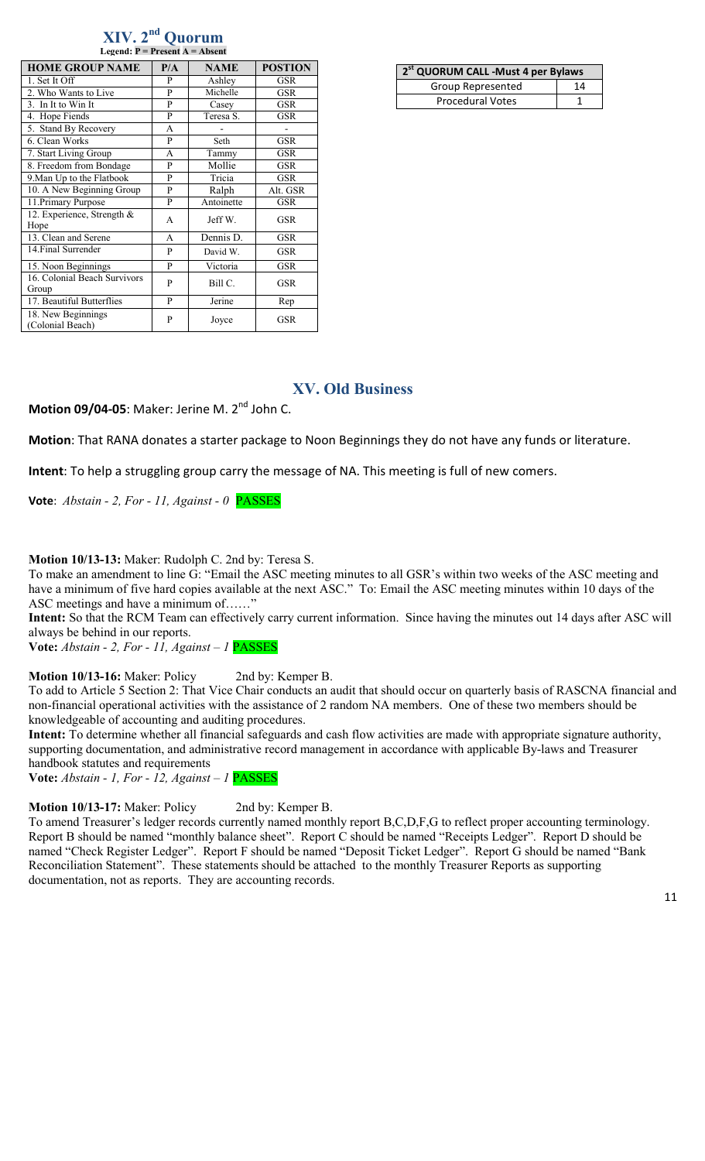| Legend: $P = Present A = Absent$       |     |             |                |  |  |  |  |
|----------------------------------------|-----|-------------|----------------|--|--|--|--|
| <b>HOME GROUP NAME</b>                 | P/A | <b>NAME</b> | <b>POSTION</b> |  |  |  |  |
| 1. Set It Off                          | P   | Ashley      | GSR            |  |  |  |  |
| 2. Who Wants to Live                   | P   | Michelle    | <b>GSR</b>     |  |  |  |  |
| 3. In It to Win It                     | P   | Casey       | <b>GSR</b>     |  |  |  |  |
| 4. Hope Fiends                         | P   | Teresa S.   | <b>GSR</b>     |  |  |  |  |
| 5. Stand By Recovery                   | A   |             |                |  |  |  |  |
| 6. Clean Works                         | P   | Seth        | <b>GSR</b>     |  |  |  |  |
| 7. Start Living Group                  | A   | Tammy       | <b>GSR</b>     |  |  |  |  |
| 8. Freedom from Bondage                | P   | Mollie      | <b>GSR</b>     |  |  |  |  |
| 9. Man Up to the Flatbook              | P   | Tricia      | GSR            |  |  |  |  |
| 10. A New Beginning Group              | P   | Ralph       | Alt. GSR       |  |  |  |  |
| 11. Primary Purpose                    | P   | Antoinette  | <b>GSR</b>     |  |  |  |  |
| 12. Experience, Strength &<br>Hope     | A   | Jeff W.     | <b>GSR</b>     |  |  |  |  |
| 13. Clean and Serene                   | A   | Dennis D.   | <b>GSR</b>     |  |  |  |  |
| 14. Final Surrender                    | P   | David W.    | <b>GSR</b>     |  |  |  |  |
| 15. Noon Beginnings                    | P   | Victoria    | <b>GSR</b>     |  |  |  |  |
| 16. Colonial Beach Survivors<br>Group  | P   | Bill C.     | <b>GSR</b>     |  |  |  |  |
| 17. Beautiful Butterflies              | P   | Jerine      | Rep            |  |  |  |  |
| 18. New Beginnings<br>(Colonial Beach) | P   | Joyce       | <b>GSR</b>     |  |  |  |  |

**XIV. 2nd Quorum** 

| 2 <sup>st</sup> QUORUM CALL -Must 4 per Bylaws |    |
|------------------------------------------------|----|
| Group Represented                              | 14 |
| <b>Procedural Votes</b>                        |    |

# **XV. Old Business**

Motion 09/04-05: Maker: Jerine M. 2<sup>nd</sup> John C.

**Motion**: That RANA donates a starter package to Noon Beginnings they do not have any funds or literature.

**Intent**: To help a struggling group carry the message of NA. This meeting is full of new comers.

**Vote**: *Abstain - 2, For - 11, Against - 0* PASSES

**Motion 10/13-13:** Maker: Rudolph C. 2nd by: Teresa S.

To make an amendment to line G: "Email the ASC meeting minutes to all GSR's within two weeks of the ASC meeting and have a minimum of five hard copies available at the next ASC." To: Email the ASC meeting minutes within 10 days of the ASC meetings and have a minimum of......

**Intent:** So that the RCM Team can effectively carry current information. Since having the minutes out 14 days after ASC will always be behind in our reports.

**Vote:** *Abstain - 2, For - 11, Against – 1* PASSES

**Motion 10/13-16:** Maker: Policy 2nd by: Kemper B.

To add to Article 5 Section 2: That Vice Chair conducts an audit that should occur on quarterly basis of RASCNA financial and non-financial operational activities with the assistance of 2 random NA members. One of these two members should be knowledgeable of accounting and auditing procedures.

**Intent:** To determine whether all financial safeguards and cash flow activities are made with appropriate signature authority, supporting documentation, and administrative record management in accordance with applicable By-laws and Treasurer handbook statutes and requirements

**Vote:** *Abstain - 1, For - 12, Against – 1* PASSES

**Motion 10/13-17:** Maker: Policy 2nd by: Kemper B.

To amend Treasurer's ledger records currently named monthly report B,C,D,F,G to reflect proper accounting terminology. Report B should be named "monthly balance sheet". Report C should be named "Receipts Ledger". Report D should be named "Check Register Ledger". Report F should be named "Deposit Ticket Ledger". Report G should be named "Bank Reconciliation Statement". These statements should be attached to the monthly Treasurer Reports as supporting documentation, not as reports. They are accounting records.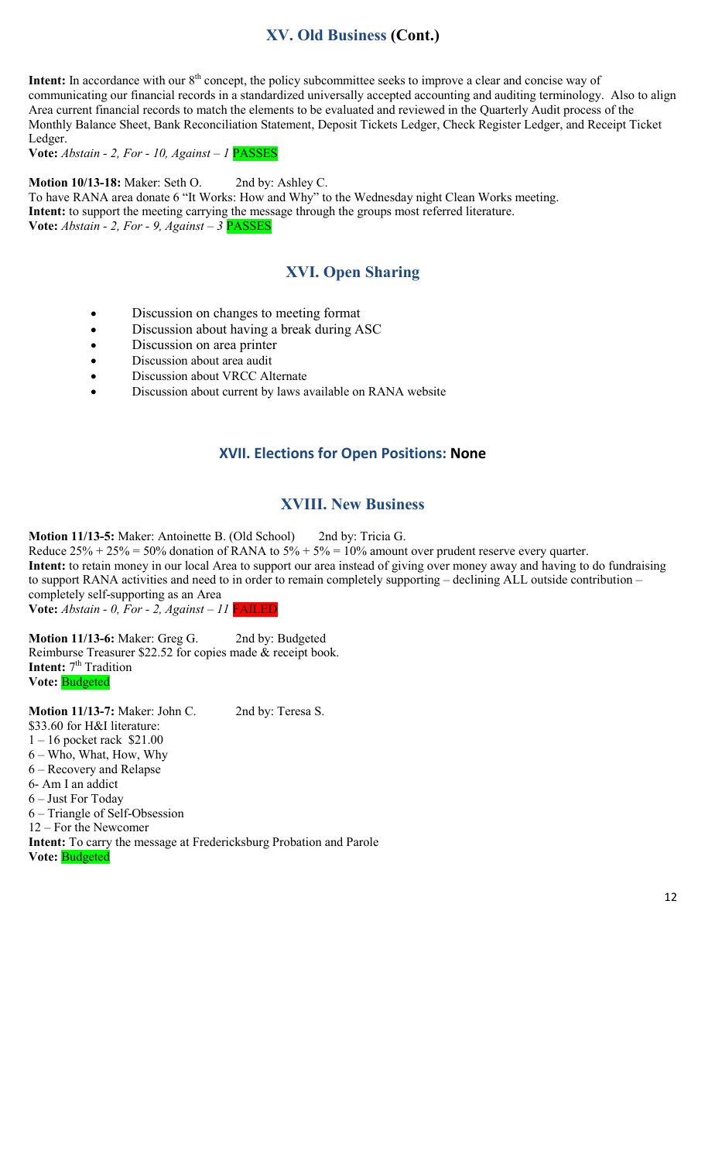# **XV. Old Business (Cont.)**

**Intent:** In accordance with our 8<sup>th</sup> concept, the policy subcommittee seeks to improve a clear and concise way of communicating our financial records in a standardized universally accepted accounting and auditing terminology. Also to align Area current financial records to match the elements to be evaluated and reviewed in the Quarterly Audit process of the Monthly Balance Sheet, Bank Reconciliation Statement, Deposit Tickets Ledger, Check Register Ledger, and Receipt Ticket Ledger.

**Vote:** *Abstain - 2, For - 10, Against – 1* PASSES

**Motion 10/13-18:** Maker: Seth O. 2nd by: Ashley C. To have RANA area donate 6 "It Works: How and Why" to the Wednesday night Clean Works meeting. **Intent:** to support the meeting carrying the message through the groups most referred literature. **Vote:** *Abstain - 2, For - 9, Against – 3* PASSES

## **XVI. Open Sharing**

- Discussion on changes to meeting format
- Discussion about having a break during ASC
- Discussion on area printer
- Discussion about area audit
- Discussion about VRCC Alternate
- Discussion about current by laws available on RANA website

#### **XVII. Elections for Open Positions: None**

## **XVIII. New Business**

**Motion 11/13-5:** Maker: Antoinette B. (Old School) 2nd by: Tricia G.

Reduce  $25\% + 25\% = 50\%$  donation of RANA to  $5\% + 5\% = 10\%$  amount over prudent reserve every quarter.

**Intent:** to retain money in our local Area to support our area instead of giving over money away and having to do fundraising to support RANA activities and need to in order to remain completely supporting – declining ALL outside contribution – completely self-supporting as an Area

**Vote:** *Abstain - 0, For - 2, Against – 11* FAILED

**Motion 11/13-6:** Maker: Greg G. 2nd by: Budgeted Reimburse Treasurer \$22.52 for copies made & receipt book. **Intent:** 7<sup>th</sup> Tradition **Vote:** Budgeted

**Motion 11/13-7:** Maker: John C. 2nd by: Teresa S. \$33.60 for H&I literature: 1 – 16 pocket rack \$21.00 6 – Who, What, How, Why 6 – Recovery and Relapse 6- Am I an addict 6 – Just For Today 6 – Triangle of Self-Obsession 12 – For the Newcomer **Intent:** To carry the message at Fredericksburg Probation and Parole **Vote:** Budgeted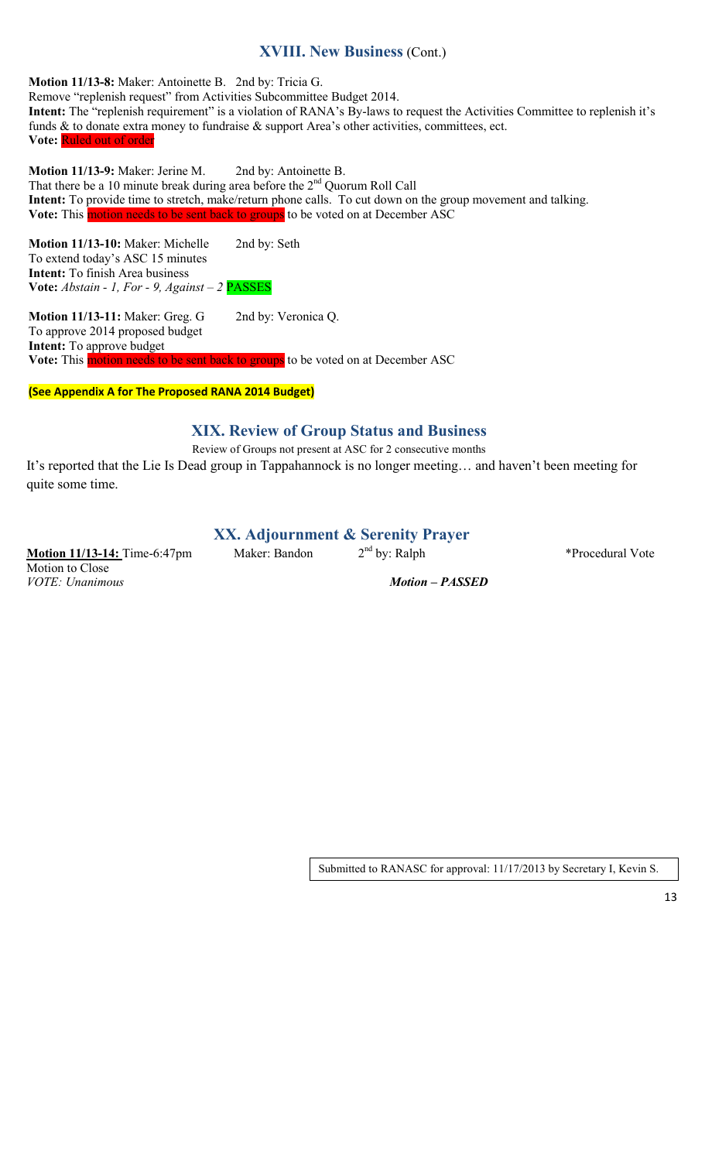# **XVIII. New Business** (Cont.)

**Motion 11/13-8:** Maker: Antoinette B. 2nd by: Tricia G. Remove "replenish request" from Activities Subcommittee Budget 2014. Intent: The "replenish requirement" is a violation of RANA's By-laws to request the Activities Committee to replenish it's funds & to donate extra money to fundraise & support Area's other activities, committees, ect. **Vote:** Ruled out of order

**Motion 11/13-9:** Maker: Jerine M. 2nd by: Antoinette B. That there be a 10 minute break during area before the  $2<sup>nd</sup>$  Quorum Roll Call **Intent:** To provide time to stretch, make/return phone calls. To cut down on the group movement and talking. **Vote:** This motion needs to be sent back to groups to be voted on at December ASC

**Motion 11/13-10:** Maker: Michelle 2nd by: Seth To extend today's ASC 15 minutes **Intent:** To finish Area business **Vote:** *Abstain - 1, For - 9, Against – 2* PASSES

**Motion 11/13-11:** Maker: Greg. G 2nd by: Veronica Q. To approve 2014 proposed budget **Intent:** To approve budget Vote: This motion needs to be sent back to groups to be voted on at December ASC

**(See Appendix A for The Proposed RANA 2014 Budget)** 

# **XIX. Review of Group Status and Business**

Review of Groups not present at ASC for 2 consecutive months It's reported that the Lie Is Dead group in Tappahannock is no longer meeting… and haven't been meeting for quite some time.

## **XX. Adjournment & Serenity Prayer**

**Motion 11/13-14:** Time-6:47pm Maker: Bandon  $2^{nd}$  by: Ralph \*Procedural Vote Motion to Close<br>*VOTE*: *Unanimous* 

*Motion – PASSED* 

Submitted to RANASC for approval: 11/17/2013 by Secretary I, Kevin S.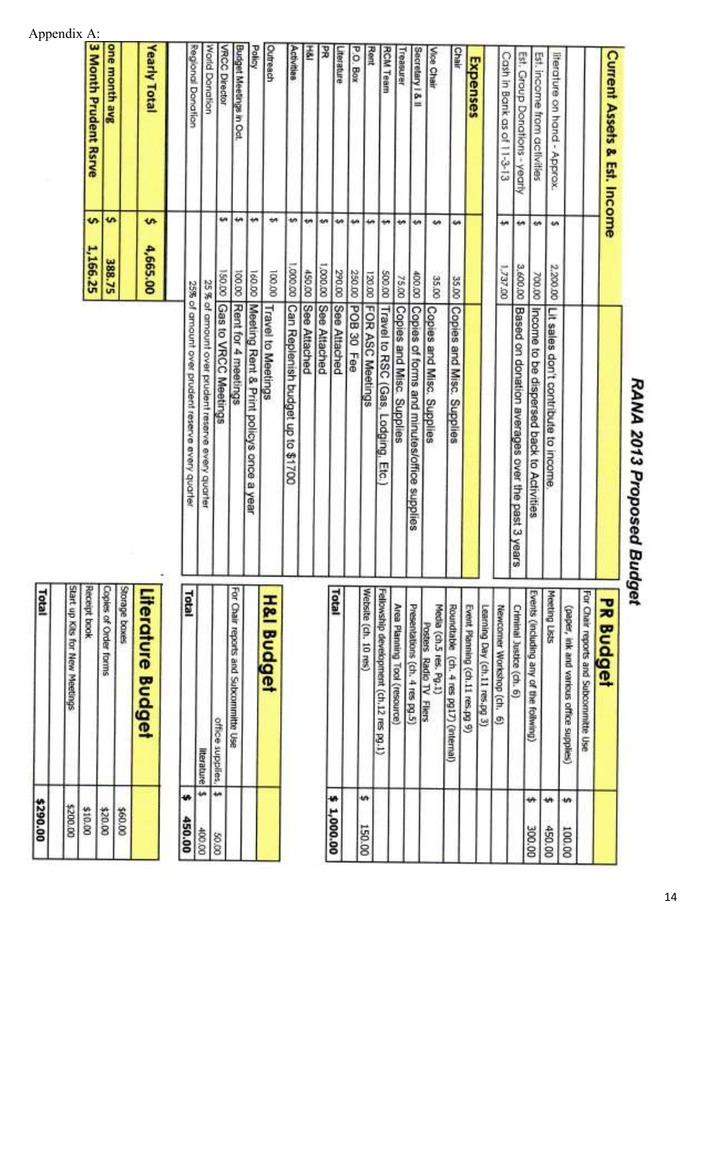| 450.00     | w  | Total                                                       | 25% of amount over prudent reserve every quarter  |                | egional Donation              |
|------------|----|-------------------------------------------------------------|---------------------------------------------------|----------------|-------------------------------|
| 00'00#     |    | <b>Itterature</b>                                           | 25 % of amount over prudent reserve every quarter |                | <b>Vorld Donation</b>         |
| 00'09      | ₩  | office supplies.                                            | Gas to VRCC Meetings                              | 00'051         | <b>RCC Director</b>           |
|            |    | For Chair reports and Subcommitte Use                       | Rent for 4 meetings                               | ÷٠<br>00.001   | <b>Sudget Meetings in Oct</b> |
|            |    |                                                             | Meeting Rent & Print policys once a year          | ÷<br>00.00     | <b>Assis</b>                  |
|            |    | <b>H&amp;I Budget</b>                                       | <b>Travel to Meetings</b>                         | ٠<br>00'001    | <b>Dutreach</b>               |
|            |    |                                                             | Can Replenish budget up to \$1700                 | th.<br>00'000" | Activities                    |
|            |    |                                                             | 450.00 See Attached                               | w              | ė                             |
|            |    |                                                             | coo.co See Attached                               | ÷,             | ž                             |
| \$1,000.00 |    | Total                                                       | See Attached                                      | w<br>290.00    | terature                      |
|            |    |                                                             | 250.00 POB 30 Fee                                 | وي             | <b>D. Box</b>                 |
| 150.00     | ŧ۵ | Website (ch. 10 res)                                        | 120.00 FOR ASC Meetings                           | ÷              | Rent                          |
|            |    | Fellowship development (ch.12 res pg.1)                     | soo.co Travel to RSC (Gas, Lodging, Etc.)         | ₩              | <b>RCM Team</b>               |
|            |    | Area Planning Tool (resource)                               | Copies and Misc. Supplies                         | ٠<br>75.00     | Treasurer                     |
|            |    | Presentations (ch. 4 res pg.5)                              | Copies of forms and minutes/office supplies       | ŧ٨<br>00.00    | Secretary   & II              |
|            |    | Media (ch.5 res. Pg.1)<br>Posters Radio TV<br><b>Filers</b> | Copies and Misc. Supplies                         | u<br>35.00     | Vice Chair                    |
|            |    | Roundtable (ch. 4 res pg17) (internal)                      | Copies and Misc. Supplies                         | u<br>35.00     | <b>Chair</b>                  |
|            |    | Event Planning (ch.11 res.pg 9)                             |                                                   |                | Expenses                      |
|            |    | Learning Day (ch.11 res.pg 3)                               |                                                   |                |                               |
|            |    | Newcomer Workshop (ch. 6)                                   |                                                   | ÷<br>1,737.00  | Cash in Bank as of 11-3-13    |
|            |    | Criminal Justice (ch. 6)                                    | Based on donation averages over the past 3 years  | ₩<br>3,600.00  | Est. Group Donations - yearly |
| 300.00     | ٠Ĥ | Events (including any of the follwing)                      | Income to be dispersed back to Activities         | w<br>700.00    | Est. income from activities   |
| 450.00     | ü۴ | Meeting Lists                                               | Lit sales don't contribute to income              | m<br>2,200.00  | literature on hand - Approx.  |
| 100.00     | ٠W | (paper, ink and various office supplies)                    |                                                   |                |                               |
|            |    | For Chair reports and Subcommitte Use                       |                                                   |                |                               |
|            |    | <b>PR Budget</b>                                            |                                                   |                | Current Assets & Est. Income  |
|            |    |                                                             |                                                   |                |                               |

| Yearly Total          | 4,665.00 |
|-----------------------|----------|
| one month avg         | 388.75   |
| 3 Month Prudent Rsrve | ,166.25  |

| Literature Budget              |          |
|--------------------------------|----------|
| <b>ROOD BOOKER</b>             | \$60.00  |
| smes of Order forms            | 00'02\$  |
| t book                         | 210.00   |
| start up Kits for New Meetings | 00'002'5 |
| Total                          | 00'062\$ |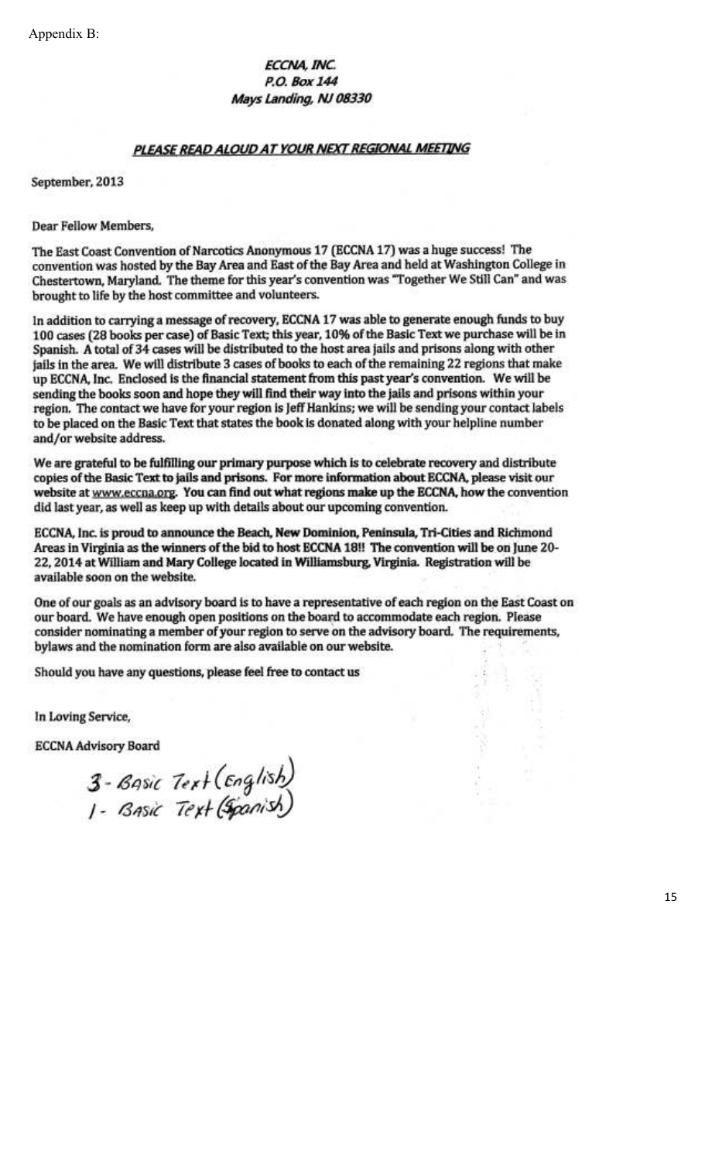Appendix B:

### ECCNA, INC. P.O. Box 144 Mays Landing, NJ 08330

#### PLEASE READ ALOUD AT YOUR NEXT REGIONAL MEETING

September, 2013

**Dear Fellow Members,** 

The East Coast Convention of Narcotics Anonymous 17 (ECCNA 17) was a huge success! The convention was hosted by the Bay Area and East of the Bay Area and held at Washington College in Chestertown, Maryland. The theme for this year's convention was "Together We Still Can" and was brought to life by the host committee and volunteers.

In addition to carrying a message of recovery, ECCNA 17 was able to generate enough funds to buy 100 cases (28 books per case) of Basic Text; this year, 10% of the Basic Text we purchase will be in Spanish. A total of 34 cases will be distributed to the host area jails and prisons along with other jails in the area. We will distribute 3 cases of books to each of the remaining 22 regions that make up ECCNA, Inc. Enclosed is the financial statement from this past year's convention. We will be sending the books soon and hope they will find their way into the jails and prisons within your region. The contact we have for your region is Jeff Hankins; we will be sending your contact labels to be placed on the Basic Text that states the book is donated along with your helpline number and/or website address.

We are grateful to be fulfilling our primary purpose which is to celebrate recovery and distribute copies of the Basic Text to jails and prisons. For more information about ECCNA, please visit our website at www.eccna.org. You can find out what regions make up the ECCNA, how the convention did last year, as well as keep up with details about our upcoming convention.

ECCNA, Inc. is proud to announce the Beach, New Dominion, Peninsula, Tri-Cities and Richmond Areas in Virginia as the winners of the bid to host ECCNA 18!! The convention will be on June 20-22, 2014 at William and Mary College located in Williamsburg, Virginia. Registration will be available soon on the website.

One of our goals as an advisory board is to have a representative of each region on the East Coast on our board. We have enough open positions on the board to accommodate each region. Please consider nominating a member of your region to serve on the advisory board. The requirements, bylaws and the nomination form are also available on our website.

Should you have any questions, please feel free to contact us

In Loving Service,

**ECCNA Advisory Board** 

3 - Basic Text (English)<br>I - Basic Text (Spanish)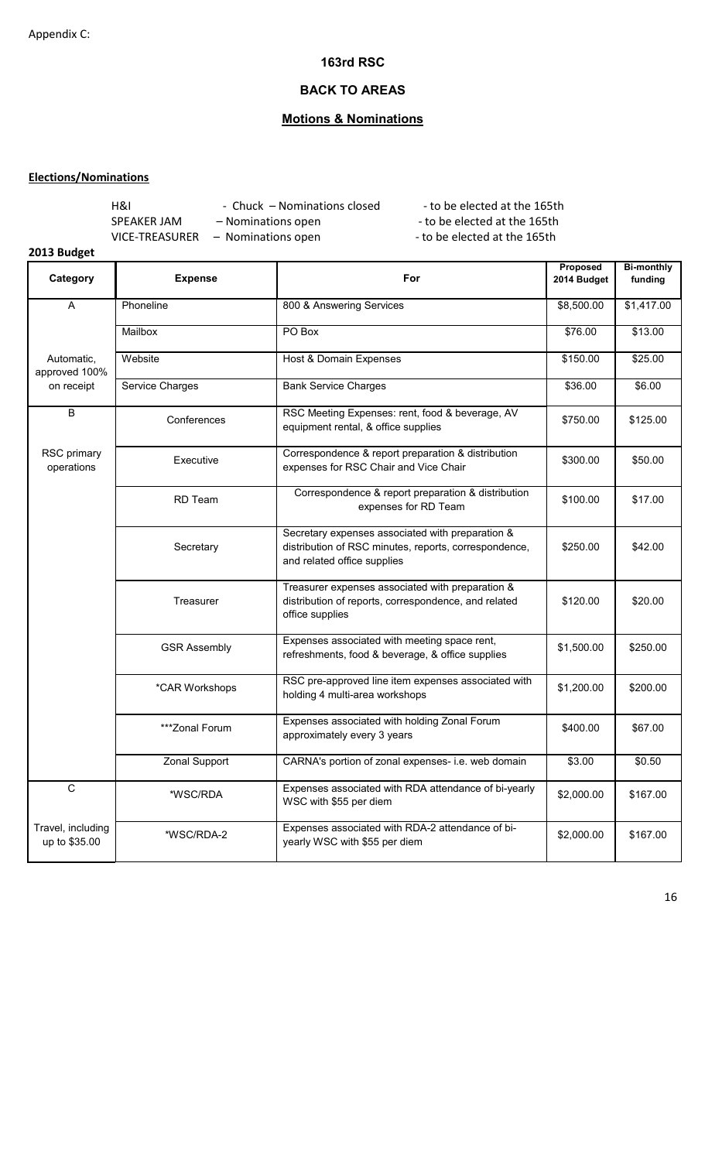### **163rd RSC**

## **BACK TO AREAS**

## **Motions & Nominations**

#### **Elections/Nominations**

| <b>H&amp;I</b> | - Chuck – Nominations closed | - to be elected at the 165th |
|----------------|------------------------------|------------------------------|
| SPEAKER JAM    | - Nominations open           | - to be elected at the 165th |
| VICE-TREASURER | - Nominations open           | - to be elected at the 165th |

## **2013 Budget**

| Category                           | <b>Expense</b>      | For                                                                                                                                      | Proposed<br>2014 Budget | <b>Bi-monthly</b><br>funding |
|------------------------------------|---------------------|------------------------------------------------------------------------------------------------------------------------------------------|-------------------------|------------------------------|
| A                                  | Phoneline           | 800 & Answering Services                                                                                                                 | \$8,500.00              | \$1,417.00                   |
|                                    | Mailbox             | PO Box                                                                                                                                   | \$76.00                 | \$13.00                      |
| Automatic,<br>approved 100%        | Website             | Host & Domain Expenses                                                                                                                   | \$150.00                | \$25.00                      |
| on receipt                         | Service Charges     | <b>Bank Service Charges</b>                                                                                                              | \$36.00                 | \$6.00                       |
| B                                  | Conferences         | RSC Meeting Expenses: rent, food & beverage, AV<br>equipment rental, & office supplies                                                   | \$750.00                | \$125.00                     |
| RSC primary<br>operations          | Executive           | Correspondence & report preparation & distribution<br>expenses for RSC Chair and Vice Chair                                              | \$300.00                | \$50.00                      |
|                                    | <b>RD</b> Team      | Correspondence & report preparation & distribution<br>expenses for RD Team                                                               | \$100.00                | \$17.00                      |
|                                    | Secretary           | Secretary expenses associated with preparation &<br>distribution of RSC minutes, reports, correspondence,<br>and related office supplies | \$250.00                | \$42.00                      |
|                                    | Treasurer           | Treasurer expenses associated with preparation &<br>distribution of reports, correspondence, and related<br>office supplies              | \$120.00                | \$20.00                      |
|                                    | <b>GSR Assembly</b> | Expenses associated with meeting space rent,<br>refreshments, food & beverage, & office supplies                                         | \$1,500.00              | \$250.00                     |
|                                    | *CAR Workshops      | RSC pre-approved line item expenses associated with<br>holding 4 multi-area workshops                                                    | \$1,200.00              | \$200.00                     |
|                                    | ***Zonal Forum      | Expenses associated with holding Zonal Forum<br>approximately every 3 years                                                              | \$400.00                | \$67.00                      |
|                                    | Zonal Support       | CARNA's portion of zonal expenses- i.e. web domain                                                                                       | \$3.00                  | \$0.50                       |
| $\overline{c}$                     | *WSC/RDA            | Expenses associated with RDA attendance of bi-yearly<br>WSC with \$55 per diem                                                           | \$2,000.00              | \$167.00                     |
| Travel, including<br>up to \$35.00 | *WSC/RDA-2          | Expenses associated with RDA-2 attendance of bi-<br>yearly WSC with \$55 per diem                                                        | \$2,000.00              | \$167.00                     |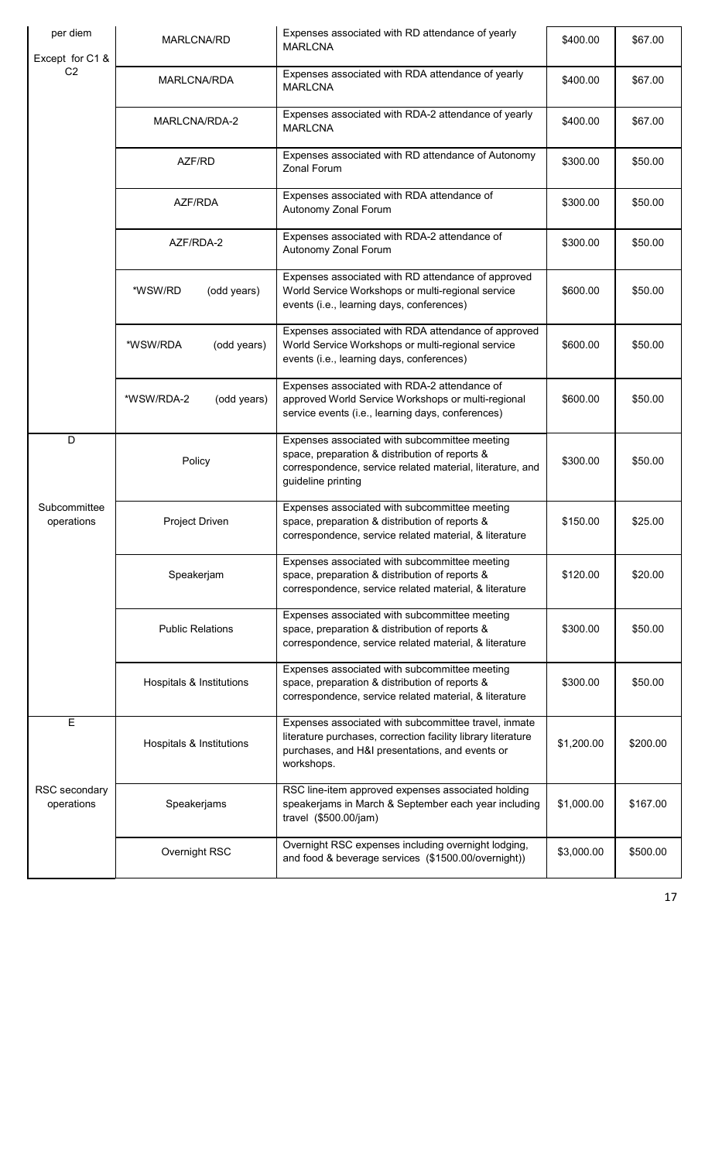| per diem<br>Except for C1 & | MARLCNA/RD                | Expenses associated with RD attendance of yearly<br><b>MARLCNA</b>                                                                                                                    | \$400.00   | \$67.00  |
|-----------------------------|---------------------------|---------------------------------------------------------------------------------------------------------------------------------------------------------------------------------------|------------|----------|
| C <sub>2</sub>              | MARLCNA/RDA               | Expenses associated with RDA attendance of yearly<br><b>MARLCNA</b>                                                                                                                   | \$400.00   | \$67.00  |
|                             | MARLCNA/RDA-2             | Expenses associated with RDA-2 attendance of yearly<br><b>MARLCNA</b>                                                                                                                 | \$400.00   | \$67.00  |
|                             | AZF/RD                    | Expenses associated with RD attendance of Autonomy<br>Zonal Forum                                                                                                                     | \$300.00   | \$50.00  |
|                             | AZF/RDA                   | Expenses associated with RDA attendance of<br>Autonomy Zonal Forum                                                                                                                    | \$300.00   | \$50.00  |
|                             | AZF/RDA-2                 | Expenses associated with RDA-2 attendance of<br>Autonomy Zonal Forum                                                                                                                  | \$300.00   | \$50.00  |
|                             | *WSW/RD<br>(odd years)    | Expenses associated with RD attendance of approved<br>World Service Workshops or multi-regional service<br>events (i.e., learning days, conferences)                                  | \$600.00   | \$50.00  |
|                             | *WSW/RDA<br>(odd years)   | Expenses associated with RDA attendance of approved<br>World Service Workshops or multi-regional service<br>events (i.e., learning days, conferences)                                 | \$600.00   | \$50.00  |
|                             | *WSW/RDA-2<br>(odd years) | Expenses associated with RDA-2 attendance of<br>approved World Service Workshops or multi-regional<br>service events (i.e., learning days, conferences)                               | \$600.00   | \$50.00  |
| D                           | Policy                    | Expenses associated with subcommittee meeting<br>space, preparation & distribution of reports &<br>correspondence, service related material, literature, and<br>guideline printing    | \$300.00   | \$50.00  |
| Subcommittee<br>operations  | Project Driven            | Expenses associated with subcommittee meeting<br>space, preparation & distribution of reports &<br>correspondence, service related material, & literature                             | \$150.00   | \$25.00  |
|                             | Speakerjam                | Expenses associated with subcommittee meeting<br>space, preparation & distribution of reports &<br>correspondence, service related material, & literature                             | \$120.00   | \$20.00  |
|                             | <b>Public Relations</b>   | Expenses associated with subcommittee meeting<br>space, preparation & distribution of reports &<br>correspondence, service related material, & literature                             | \$300.00   | \$50.00  |
|                             | Hospitals & Institutions  | Expenses associated with subcommittee meeting<br>space, preparation & distribution of reports &<br>correspondence, service related material, & literature                             | \$300.00   | \$50.00  |
| $\overline{E}$              | Hospitals & Institutions  | Expenses associated with subcommittee travel, inmate<br>literature purchases, correction facility library literature<br>purchases, and H&I presentations, and events or<br>workshops. | \$1,200.00 | \$200.00 |
| RSC secondary<br>operations | Speakerjams               | RSC line-item approved expenses associated holding<br>speakerjams in March & September each year including<br>travel (\$500.00/jam)                                                   | \$1,000.00 | \$167.00 |
|                             | Overnight RSC             | Overnight RSC expenses including overnight lodging,<br>and food & beverage services (\$1500.00/overnight))                                                                            | \$3,000.00 | \$500.00 |